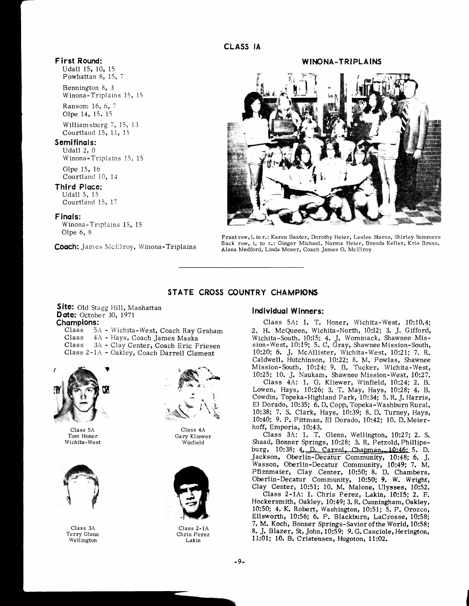### F irst Round:

Udall 15, 10, 15 Powhattan 8, 15, 7

Bennington 8, 3 Winona-Triplains 15, 15

Ransom 16, 6, 7 Olpe 14, 15. i5

Williamsburg 7, 15, 13 Courtland 15, 11, 15

# Semifinals:

Udall 2, 0 Winona-Triplains 15, 15

Olpe 15, 16 Courtland 10, 14

#### Third Place:

Udall 5, 15 Courtland 15, l7

#### Finqls:

Winona-Triplains 15, 15 Olpe 6, 8

Coach: James McElroy, Winona-Triplains

## WINONA-TRIPLAINS



Frontrow,l. tor.: Karen Baxter, Dorothy Heier, Leslee Starns, Shiriey Summers Back row, I. to r.: Ginger Michael, Norma Heier, Brenda Keller, Kris Bruns, Alana Medford, Linda Moser, Coach James O. McElroy

# STATE CROSS COUNTRY CHAMPIONS

Site: Old Stagg Hill, Manhattan Date: October 30, 1971 Champions:<br>Class 5. Class 5A - Wichita-West, Coach Ray Graham<br>Class 4A - Hays, Coach James Maska

- Class 4A Hays, Coach James Maska
- 3A Clay Center, Coach Eric Friesen
- Class 2-1A Oakley, Coach Darrell Clement



Class 5A Tom Honer Wichita-West



Class 3A Terry Glenn Wellington



Class 4A Gary Kliewer Winfield



Class 2-lA Chris Perez Lakin

#### Individuql W inners:

Class 5A: 1. T. Honer, Wichita-West, l0:10.4; 2. H. McQueen, Wichita-North, 10:12; 3. J. Gifford, Wichita-South, 10:15; 4. J. Wommack, Shawnee Mis-sion-West, 10:19; 5. C. Gray, ShawneeMission-South, 10220; 6. J. McAllister, Wichita-West, l0:2L; 7. R. Caldwell, Hutchinson, 10:22; 8. M. Powlas, Shawnee Mission-South, 10:24; 9, B. Tucker, Wichita-West, 10:25; 10. J. Naukam, Shawnee Mission-West, l0:27.

Class 4A: 1. G. Kliewer, Winfield, 10:24; 2. B. Lowen, Hays, 10:26; 3. T. May, Hays, 10:28; 4. B. Cowdin, Topeka-Highland Fark, 10:34; 5. R. J. Harris, El Dorado, 10:35; 6. D. Copp, Topeka-Washburn Rural, 10:38; 7. S. Clark, Hays, 10:39; 8. D. Turney, Hays, 10:40; 9. P. Pittman, El Dorado, 10:42; 10. D. Meierhoff, Emporia, 10:43.

Class 3A: 1. T. Glenn, Wellington, 10:27; 2. S. Shaad, Bonner Springs, 10:28; 3. R. Petzold, Phillipsburg, 10:38; 4. D. Carrol, Chapman, 10:46: 5. D. Jackson, Oberlin-Decatur Community, 10:48; 6. J. Wasson, Oberlin-Decatur Community, 10:49; 7. M. Pfiznmaier, Clay Center, 10:50; 8. D. Chambers, Oberlin-Decatur Community, 10:50; 9. W. Wright, Clay Center, 10:51; 10. M. Malone, Ulysses, 10:52.

Class 2-lA: l. Chris Perez, Lakin, 10:15; 2. F. Hockersmith, Oakley, 10:49; 3. R. Cunningham, Oakley, 10:50; 4. K. Robert, Washington, l0:51; 5. P. Orozco, Ellsworth, l0:56; 6. P. Blackburn, LaCrosse, 10:58; 7. M. Koch, Bonner Springs-SavioroftheWorld, 10:58; 8. J. Blazer, St. John, 10:59; 9. G. Casciole, Herington, l1:01; 10. B. Cristensen, Hugoton, 1l:02.